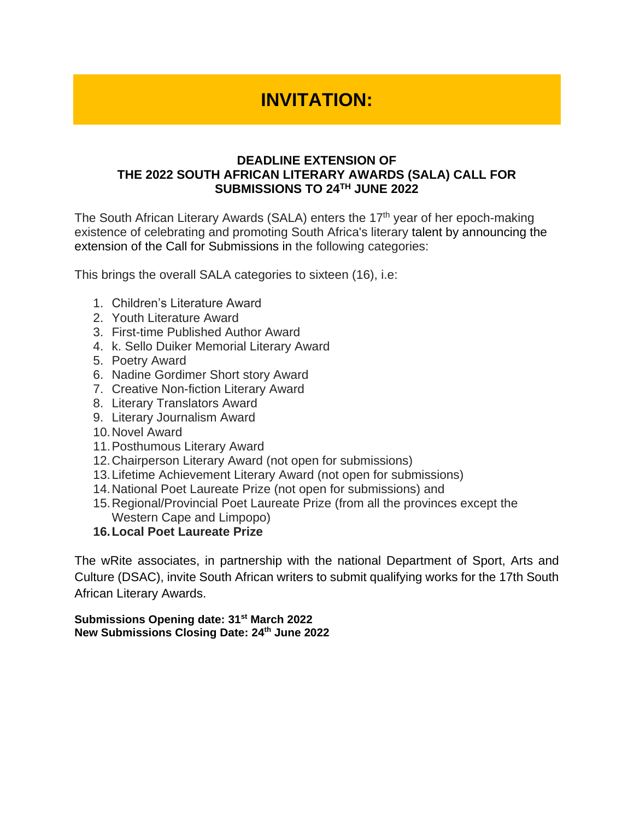# **INVITATION:**

### **DEADLINE EXTENSION OF THE 2022 SOUTH AFRICAN LITERARY AWARDS (SALA) CALL FOR SUBMISSIONS TO 24TH JUNE 2022**

The South African Literary Awards (SALA) enters the 17<sup>th</sup> year of her epoch-making existence of celebrating and promoting South Africa's literary talent by announcing the extension of the Call for Submissions in the following categories:

This brings the overall SALA categories to sixteen (16), i.e:

- 1. Children's Literature Award
- 2. Youth Literature Award
- 3. First-time Published Author Award
- 4. k. Sello Duiker Memorial Literary Award
- 5. Poetry Award
- 6. Nadine Gordimer Short story Award
- 7. Creative Non-fiction Literary Award
- 8. Literary Translators Award
- 9. Literary Journalism Award
- 10.Novel Award
- 11.Posthumous Literary Award
- 12.Chairperson Literary Award (not open for submissions)
- 13.Lifetime Achievement Literary Award (not open for submissions)
- 14.National Poet Laureate Prize (not open for submissions) and
- 15.Regional/Provincial Poet Laureate Prize (from all the provinces except the Western Cape and Limpopo)
- **16.Local Poet Laureate Prize**

The wRite associates, in partnership with the national Department of Sport, Arts and Culture (DSAC), invite South African writers to submit qualifying works for the 17th South African Literary Awards.

**Submissions Opening date: 31st March 2022 New Submissions Closing Date: 24th June 2022**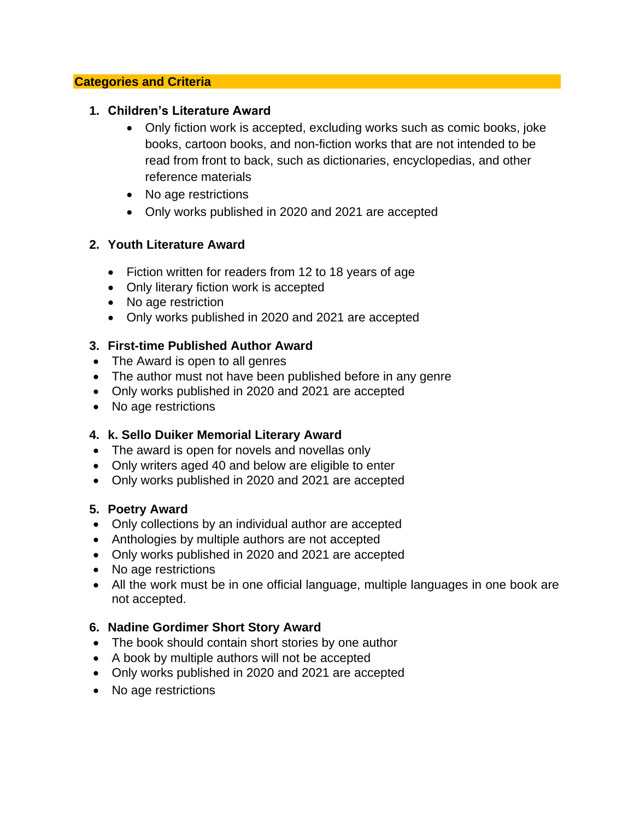### **Categories and Criteria**

### **1. Children's Literature Award**

- Only fiction work is accepted, excluding works such as comic books, joke books, cartoon books, and non-fiction works that are not intended to be read from front to back, such as dictionaries, encyclopedias, and other reference materials
- No age restrictions
- Only works published in 2020 and 2021 are accepted

### **2. Youth Literature Award**

- Fiction written for readers from 12 to 18 years of age
- Only literary fiction work is accepted
- No age restriction
- Only works published in 2020 and 2021 are accepted

### **3. First-time Published Author Award**

- The Award is open to all genres
- The author must not have been published before in any genre
- Only works published in 2020 and 2021 are accepted
- No age restrictions

### **4. k. Sello Duiker Memorial Literary Award**

- The award is open for novels and novellas only
- Only writers aged 40 and below are eligible to enter
- Only works published in 2020 and 2021 are accepted

### **5. Poetry Award**

- Only collections by an individual author are accepted
- Anthologies by multiple authors are not accepted
- Only works published in 2020 and 2021 are accepted
- No age restrictions
- All the work must be in one official language, multiple languages in one book are not accepted.

### **6. Nadine Gordimer Short Story Award**

- The book should contain short stories by one author
- A book by multiple authors will not be accepted
- Only works published in 2020 and 2021 are accepted
- No age restrictions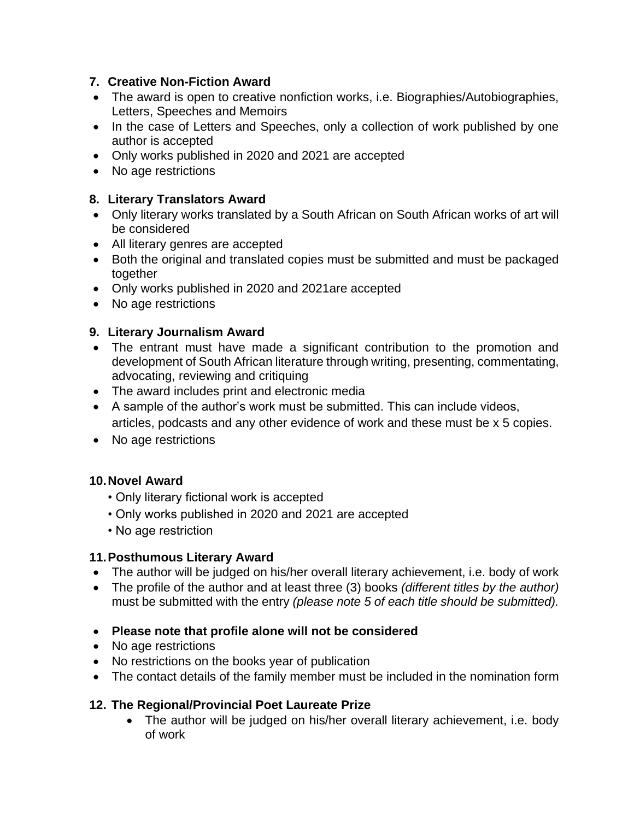### **7. Creative Non-Fiction Award**

- The award is open to creative nonfiction works, i.e. Biographies/Autobiographies, Letters, Speeches and Memoirs
- In the case of Letters and Speeches, only a collection of work published by one author is accepted
- Only works published in 2020 and 2021 are accepted
- No age restrictions

### **8. Literary Translators Award**

- Only literary works translated by a South African on South African works of art will be considered
- All literary genres are accepted
- Both the original and translated copies must be submitted and must be packaged together
- Only works published in 2020 and 2021are accepted
- No age restrictions

### **9. Literary Journalism Award**

- The entrant must have made a significant contribution to the promotion and development of South African literature through writing, presenting, commentating, advocating, reviewing and critiquing
- The award includes print and electronic media
- A sample of the author's work must be submitted. This can include videos, articles, podcasts and any other evidence of work and these must be x 5 copies.
- No age restrictions

## **10.Novel Award**

- Only literary fictional work is accepted
- Only works published in 2020 and 2021 are accepted
- No age restriction

### **11.Posthumous Literary Award**

- The author will be judged on his/her overall literary achievement, i.e. body of work
- The profile of the author and at least three (3) books *(different titles by the author)*  must be submitted with the entry *(please note 5 of each title should be submitted).*
- **Please note that profile alone will not be considered**
- No age restrictions
- No restrictions on the books year of publication
- The contact details of the family member must be included in the nomination form

## **12. The Regional/Provincial Poet Laureate Prize**

• The author will be judged on his/her overall literary achievement, i.e. body of work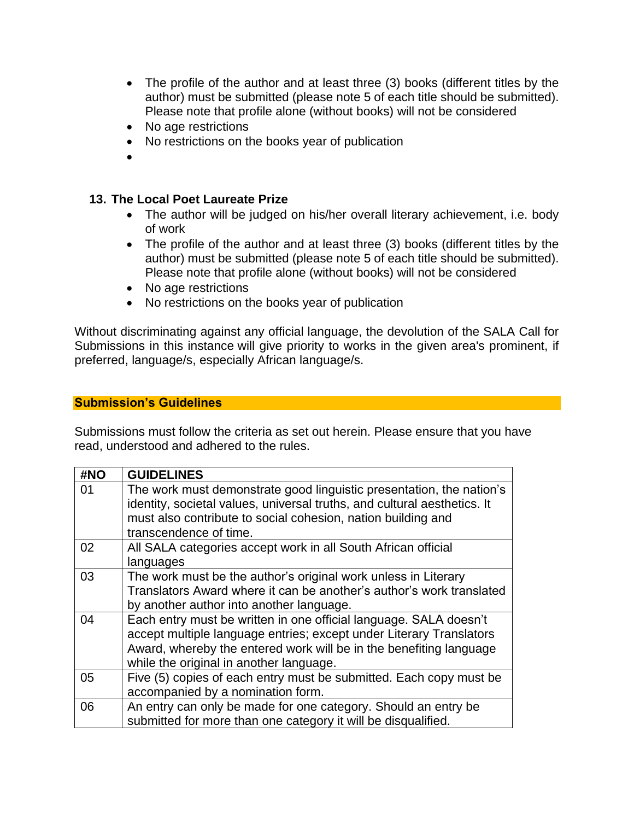- The profile of the author and at least three (3) books (different titles by the author) must be submitted (please note 5 of each title should be submitted). Please note that profile alone (without books) will not be considered
- No age restrictions
- No restrictions on the books year of publication
- •

### **13. The Local Poet Laureate Prize**

- The author will be judged on his/her overall literary achievement, i.e. body of work
- The profile of the author and at least three (3) books (different titles by the author) must be submitted (please note 5 of each title should be submitted). Please note that profile alone (without books) will not be considered
- No age restrictions
- No restrictions on the books year of publication

Without discriminating against any official language, the devolution of the SALA Call for Submissions in this instance will give priority to works in the given area's prominent, if preferred, language/s, especially African language/s.

#### **Submission's Guidelines**

Submissions must follow the criteria as set out herein. Please ensure that you have read, understood and adhered to the rules.

| #NO | <b>GUIDELINES</b>                                                        |
|-----|--------------------------------------------------------------------------|
| 01  | The work must demonstrate good linguistic presentation, the nation's     |
|     | identity, societal values, universal truths, and cultural aesthetics. It |
|     | must also contribute to social cohesion, nation building and             |
|     | transcendence of time.                                                   |
| 02  | All SALA categories accept work in all South African official            |
|     | languages                                                                |
| 03  | The work must be the author's original work unless in Literary           |
|     | Translators Award where it can be another's author's work translated     |
|     | by another author into another language.                                 |
| 04  | Each entry must be written in one official language. SALA doesn't        |
|     | accept multiple language entries; except under Literary Translators      |
|     | Award, whereby the entered work will be in the benefiting language       |
|     | while the original in another language.                                  |
| 05  | Five (5) copies of each entry must be submitted. Each copy must be       |
|     | accompanied by a nomination form.                                        |
| 06  | An entry can only be made for one category. Should an entry be           |
|     | submitted for more than one category it will be disqualified.            |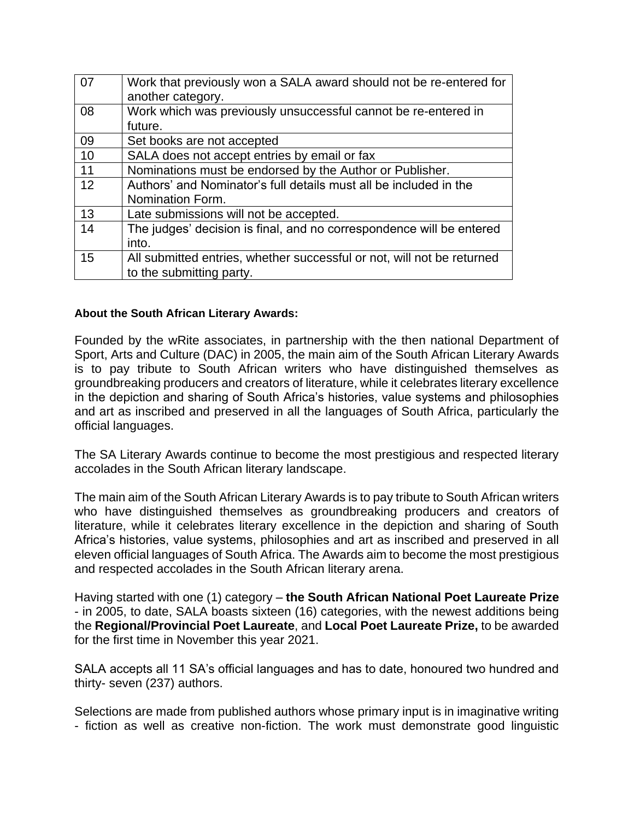| 07 | Work that previously won a SALA award should not be re-entered for<br>another category. |
|----|-----------------------------------------------------------------------------------------|
| 08 | Work which was previously unsuccessful cannot be re-entered in                          |
|    | future.                                                                                 |
| 09 | Set books are not accepted                                                              |
| 10 | SALA does not accept entries by email or fax                                            |
| 11 | Nominations must be endorsed by the Author or Publisher.                                |
| 12 | Authors' and Nominator's full details must all be included in the                       |
|    | Nomination Form.                                                                        |
| 13 | Late submissions will not be accepted.                                                  |
| 14 | The judges' decision is final, and no correspondence will be entered                    |
|    | into.                                                                                   |
| 15 | All submitted entries, whether successful or not, will not be returned                  |
|    | to the submitting party.                                                                |

### **About the South African Literary Awards:**

Founded by the wRite associates, in partnership with the then national Department of Sport, Arts and Culture (DAC) in 2005, the main aim of the South African Literary Awards is to pay tribute to South African writers who have distinguished themselves as groundbreaking producers and creators of literature, while it celebrates literary excellence in the depiction and sharing of South Africa's histories, value systems and philosophies and art as inscribed and preserved in all the languages of South Africa, particularly the official languages.

The SA Literary Awards continue to become the most prestigious and respected literary accolades in the South African literary landscape.

The main aim of the South African Literary Awards is to pay tribute to South African writers who have distinguished themselves as groundbreaking producers and creators of literature, while it celebrates literary excellence in the depiction and sharing of South Africa's histories, value systems, philosophies and art as inscribed and preserved in all eleven official languages of South Africa. The Awards aim to become the most prestigious and respected accolades in the South African literary arena.

Having started with one (1) category – **the South African National Poet Laureate Prize** - in 2005, to date, SALA boasts sixteen (16) categories, with the newest additions being the **Regional/Provincial Poet Laureate**, and **Local Poet Laureate Prize,** to be awarded for the first time in November this year 2021.

SALA accepts all 11 SA's official languages and has to date, honoured two hundred and thirty- seven (237) authors.

Selections are made from published authors whose primary input is in imaginative writing - fiction as well as creative non-fiction. The work must demonstrate good linguistic